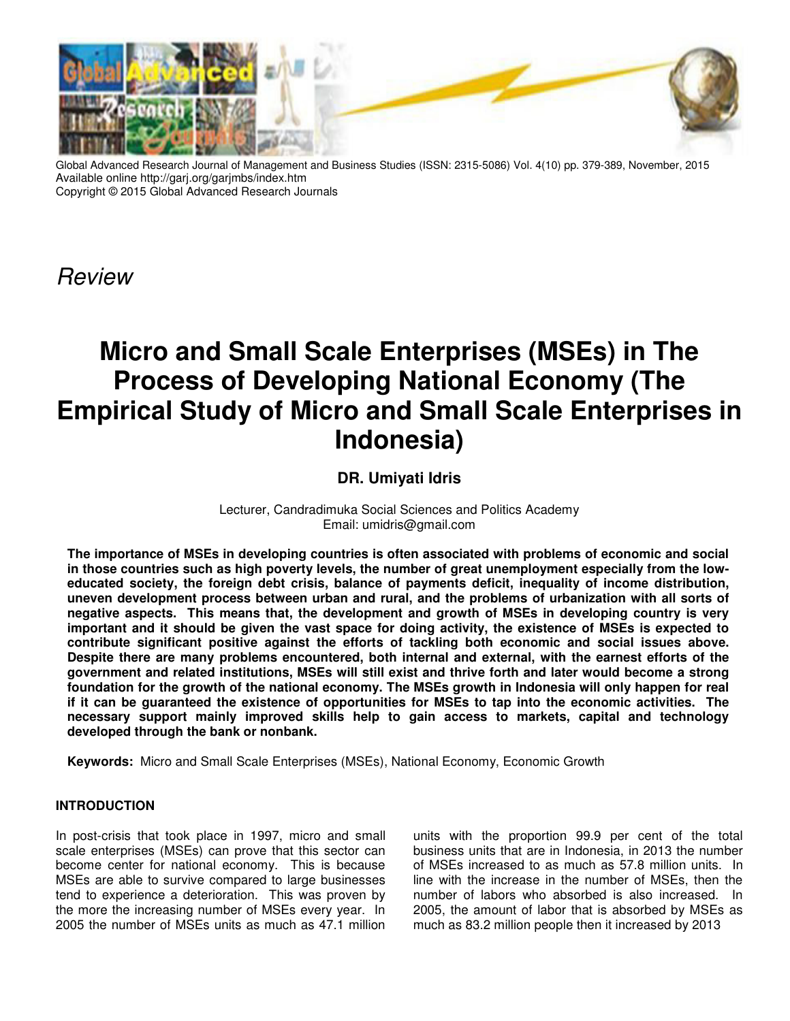

Global Advanced Research Journal of Management and Business Studies (ISSN: 2315-5086) Vol. 4(10) pp. 379-389, November, 2015 Available online http://garj.org/garjmbs/index.htm Copyright © 2015 Global Advanced Research Journals

Review

# **Micro and Small Scale Enterprises (MSEs) in The Process of Developing National Economy (The Empirical Study of Micro and Small Scale Enterprises in Indonesia)**

## **DR. Umiyati Idris**

Lecturer, Candradimuka Social Sciences and Politics Academy Email: umidris@gmail.com

**The importance of MSEs in developing countries is often associated with problems of economic and social in those countries such as high poverty levels, the number of great unemployment especially from the loweducated society, the foreign debt crisis, balance of payments deficit, inequality of income distribution, uneven development process between urban and rural, and the problems of urbanization with all sorts of negative aspects. This means that, the development and growth of MSEs in developing country is very important and it should be given the vast space for doing activity, the existence of MSEs is expected to contribute significant positive against the efforts of tackling both economic and social issues above. Despite there are many problems encountered, both internal and external, with the earnest efforts of the government and related institutions, MSEs will still exist and thrive forth and later would become a strong foundation for the growth of the national economy. The MSEs growth in Indonesia will only happen for real if it can be guaranteed the existence of opportunities for MSEs to tap into the economic activities. The necessary support mainly improved skills help to gain access to markets, capital and technology developed through the bank or nonbank.** 

**Keywords:** Micro and Small Scale Enterprises (MSEs), National Economy, Economic Growth

#### **INTRODUCTION**

In post-crisis that took place in 1997, micro and small scale enterprises (MSEs) can prove that this sector can become center for national economy. This is because MSEs are able to survive compared to large businesses tend to experience a deterioration. This was proven by the more the increasing number of MSEs every year. In 2005 the number of MSEs units as much as 47.1 million

units with the proportion 99.9 per cent of the total business units that are in Indonesia, in 2013 the number of MSEs increased to as much as 57.8 million units. In line with the increase in the number of MSEs, then the number of labors who absorbed is also increased. In 2005, the amount of labor that is absorbed by MSEs as much as 83.2 million people then it increased by 2013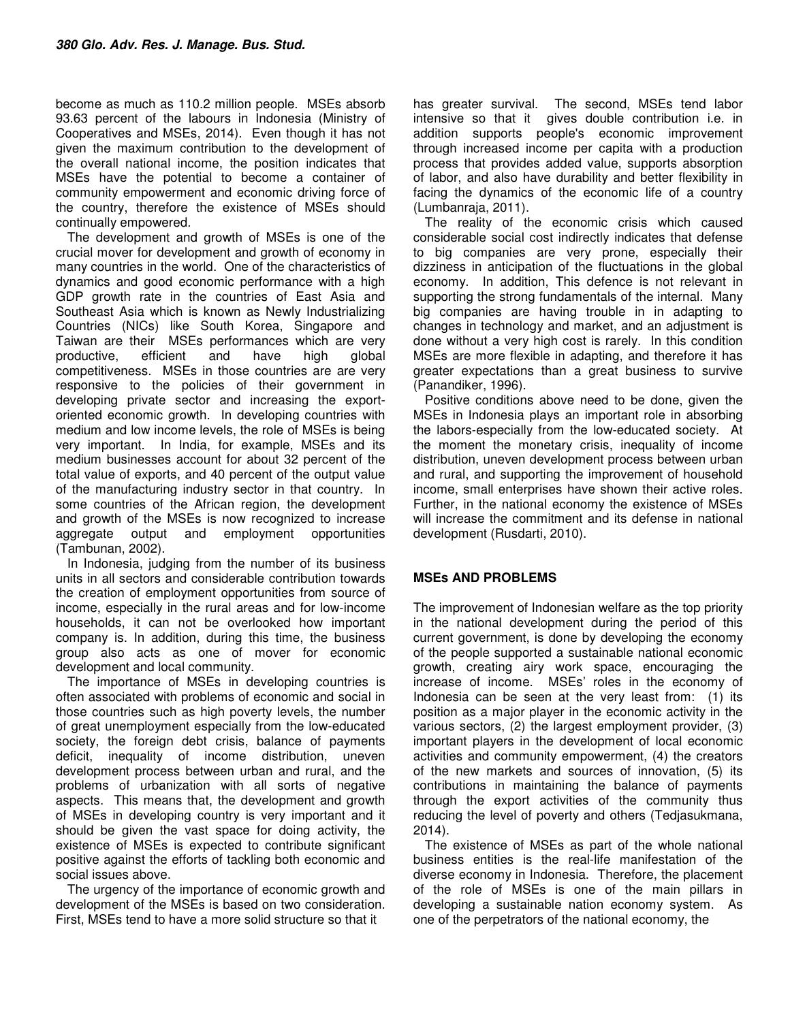become as much as 110.2 million people. MSEs absorb 93.63 percent of the labours in Indonesia (Ministry of Cooperatives and MSEs, 2014). Even though it has not given the maximum contribution to the development of the overall national income, the position indicates that MSEs have the potential to become a container of community empowerment and economic driving force of the country, therefore the existence of MSEs should continually empowered.

The development and growth of MSEs is one of the crucial mover for development and growth of economy in many countries in the world. One of the characteristics of dynamics and good economic performance with a high GDP growth rate in the countries of East Asia and Southeast Asia which is known as Newly Industrializing Countries (NICs) like South Korea, Singapore and Taiwan are their MSEs performances which are very productive, efficient and have high global competitiveness. MSEs in those countries are are very responsive to the policies of their government in developing private sector and increasing the exportoriented economic growth. In developing countries with medium and low income levels, the role of MSEs is being very important. In India, for example, MSEs and its medium businesses account for about 32 percent of the total value of exports, and 40 percent of the output value of the manufacturing industry sector in that country. In some countries of the African region, the development and growth of the MSEs is now recognized to increase aggregate output and employment opportunities (Tambunan, 2002).

In Indonesia, judging from the number of its business units in all sectors and considerable contribution towards the creation of employment opportunities from source of income, especially in the rural areas and for low-income households, it can not be overlooked how important company is. In addition, during this time, the business group also acts as one of mover for economic development and local community.

The importance of MSEs in developing countries is often associated with problems of economic and social in those countries such as high poverty levels, the number of great unemployment especially from the low-educated society, the foreign debt crisis, balance of payments deficit, inequality of income distribution, uneven development process between urban and rural, and the problems of urbanization with all sorts of negative aspects. This means that, the development and growth of MSEs in developing country is very important and it should be given the vast space for doing activity, the existence of MSEs is expected to contribute significant positive against the efforts of tackling both economic and social issues above.

The urgency of the importance of economic growth and development of the MSEs is based on two consideration. First, MSEs tend to have a more solid structure so that it

has greater survival. The second, MSEs tend labor intensive so that it gives double contribution i.e. in addition supports people's economic improvement through increased income per capita with a production process that provides added value, supports absorption of labor, and also have durability and better flexibility in facing the dynamics of the economic life of a country (Lumbanraja, 2011).

The reality of the economic crisis which caused considerable social cost indirectly indicates that defense to big companies are very prone, especially their dizziness in anticipation of the fluctuations in the global economy. In addition, This defence is not relevant in supporting the strong fundamentals of the internal. Many big companies are having trouble in in adapting to changes in technology and market, and an adjustment is done without a very high cost is rarely. In this condition MSEs are more flexible in adapting, and therefore it has greater expectations than a great business to survive (Panandiker, 1996).

Positive conditions above need to be done, given the MSEs in Indonesia plays an important role in absorbing the labors-especially from the low-educated society. At the moment the monetary crisis, inequality of income distribution, uneven development process between urban and rural, and supporting the improvement of household income, small enterprises have shown their active roles. Further, in the national economy the existence of MSEs will increase the commitment and its defense in national development (Rusdarti, 2010).

### **MSEs AND PROBLEMS**

The improvement of Indonesian welfare as the top priority in the national development during the period of this current government, is done by developing the economy of the people supported a sustainable national economic growth, creating airy work space, encouraging the increase of income. MSEs' roles in the economy of Indonesia can be seen at the very least from: (1) its position as a major player in the economic activity in the various sectors, (2) the largest employment provider, (3) important players in the development of local economic activities and community empowerment, (4) the creators of the new markets and sources of innovation, (5) its contributions in maintaining the balance of payments through the export activities of the community thus reducing the level of poverty and others (Tedjasukmana, 2014).

The existence of MSEs as part of the whole national business entities is the real-life manifestation of the diverse economy in Indonesia. Therefore, the placement of the role of MSEs is one of the main pillars in developing a sustainable nation economy system. As one of the perpetrators of the national economy, the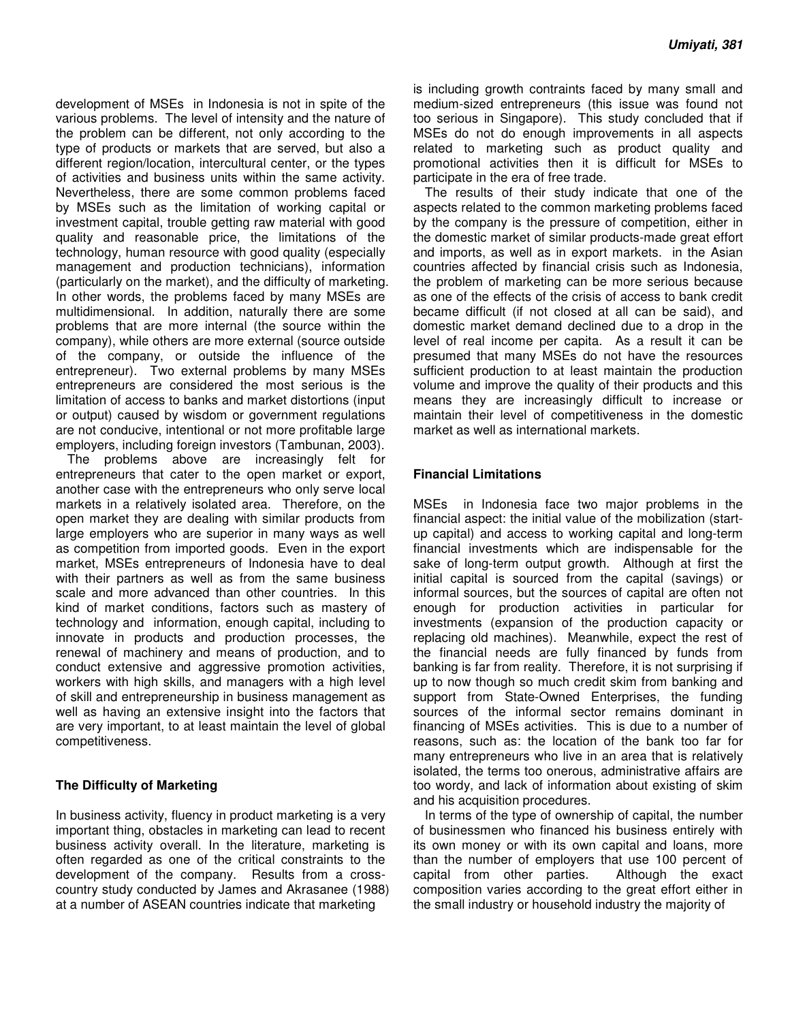development of MSEs in Indonesia is not in spite of the various problems. The level of intensity and the nature of the problem can be different, not only according to the type of products or markets that are served, but also a different region/location, intercultural center, or the types of activities and business units within the same activity. Nevertheless, there are some common problems faced by MSEs such as the limitation of working capital or investment capital, trouble getting raw material with good quality and reasonable price, the limitations of the technology, human resource with good quality (especially management and production technicians), information (particularly on the market), and the difficulty of marketing. In other words, the problems faced by many MSEs are multidimensional. In addition, naturally there are some problems that are more internal (the source within the company), while others are more external (source outside of the company, or outside the influence of the entrepreneur). Two external problems by many MSEs entrepreneurs are considered the most serious is the limitation of access to banks and market distortions (input or output) caused by wisdom or government regulations are not conducive, intentional or not more profitable large employers, including foreign investors (Tambunan, 2003).

The problems above are increasingly felt for entrepreneurs that cater to the open market or export, another case with the entrepreneurs who only serve local markets in a relatively isolated area. Therefore, on the open market they are dealing with similar products from large employers who are superior in many ways as well as competition from imported goods. Even in the export market, MSEs entrepreneurs of Indonesia have to deal with their partners as well as from the same business scale and more advanced than other countries. In this kind of market conditions, factors such as mastery of technology and information, enough capital, including to innovate in products and production processes, the renewal of machinery and means of production, and to conduct extensive and aggressive promotion activities, workers with high skills, and managers with a high level of skill and entrepreneurship in business management as well as having an extensive insight into the factors that are very important, to at least maintain the level of global competitiveness.

#### **The Difficulty of Marketing**

In business activity, fluency in product marketing is a very important thing, obstacles in marketing can lead to recent business activity overall. In the literature, marketing is often regarded as one of the critical constraints to the development of the company. Results from a crosscountry study conducted by James and Akrasanee (1988) at a number of ASEAN countries indicate that marketing

is including growth contraints faced by many small and medium-sized entrepreneurs (this issue was found not too serious in Singapore). This study concluded that if MSEs do not do enough improvements in all aspects related to marketing such as product quality and promotional activities then it is difficult for MSEs to participate in the era of free trade.

The results of their study indicate that one of the aspects related to the common marketing problems faced by the company is the pressure of competition, either in the domestic market of similar products-made great effort and imports, as well as in export markets. in the Asian countries affected by financial crisis such as Indonesia, the problem of marketing can be more serious because as one of the effects of the crisis of access to bank credit became difficult (if not closed at all can be said), and domestic market demand declined due to a drop in the level of real income per capita. As a result it can be presumed that many MSEs do not have the resources sufficient production to at least maintain the production volume and improve the quality of their products and this means they are increasingly difficult to increase or maintain their level of competitiveness in the domestic market as well as international markets.

#### **Financial Limitations**

MSEs in Indonesia face two major problems in the financial aspect: the initial value of the mobilization (startup capital) and access to working capital and long-term financial investments which are indispensable for the sake of long-term output growth. Although at first the initial capital is sourced from the capital (savings) or informal sources, but the sources of capital are often not enough for production activities in particular for investments (expansion of the production capacity or replacing old machines). Meanwhile, expect the rest of the financial needs are fully financed by funds from banking is far from reality. Therefore, it is not surprising if up to now though so much credit skim from banking and support from State-Owned Enterprises, the funding sources of the informal sector remains dominant in financing of MSEs activities. This is due to a number of reasons, such as: the location of the bank too far for many entrepreneurs who live in an area that is relatively isolated, the terms too onerous, administrative affairs are too wordy, and lack of information about existing of skim and his acquisition procedures.

In terms of the type of ownership of capital, the number of businessmen who financed his business entirely with its own money or with its own capital and loans, more than the number of employers that use 100 percent of capital from other parties. Although the exact composition varies according to the great effort either in the small industry or household industry the majority of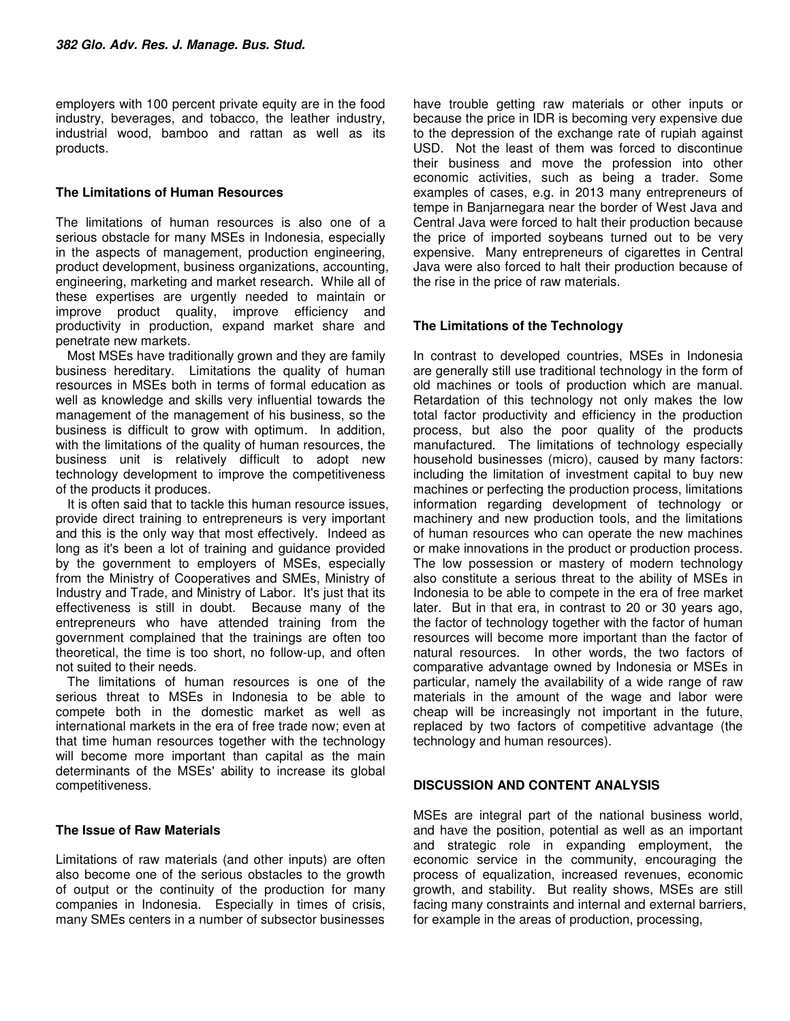employers with 100 percent private equity are in the food industry, beverages, and tobacco, the leather industry, industrial wood, bamboo and rattan as well as its products.

#### **The Limitations of Human Resources**

The limitations of human resources is also one of a serious obstacle for many MSEs in Indonesia, especially in the aspects of management, production engineering, product development, business organizations, accounting, engineering, marketing and market research. While all of these expertises are urgently needed to maintain or improve product quality, improve efficiency and productivity in production, expand market share and penetrate new markets.

Most MSEs have traditionally grown and they are family business hereditary. Limitations the quality of human resources in MSEs both in terms of formal education as well as knowledge and skills very influential towards the management of the management of his business, so the business is difficult to grow with optimum. In addition, with the limitations of the quality of human resources, the business unit is relatively difficult to adopt new technology development to improve the competitiveness of the products it produces.

It is often said that to tackle this human resource issues, provide direct training to entrepreneurs is very important and this is the only way that most effectively. Indeed as long as it's been a lot of training and guidance provided by the government to employers of MSEs, especially from the Ministry of Cooperatives and SMEs, Ministry of Industry and Trade, and Ministry of Labor. It's just that its effectiveness is still in doubt. Because many of the entrepreneurs who have attended training from the government complained that the trainings are often too theoretical, the time is too short, no follow-up, and often not suited to their needs.

The limitations of human resources is one of the serious threat to MSEs in Indonesia to be able to compete both in the domestic market as well as international markets in the era of free trade now; even at that time human resources together with the technology will become more important than capital as the main determinants of the MSEs' ability to increase its global competitiveness.

#### **The Issue of Raw Materials**

Limitations of raw materials (and other inputs) are often also become one of the serious obstacles to the growth of output or the continuity of the production for many companies in Indonesia. Especially in times of crisis, many SMEs centers in a number of subsector businesses have trouble getting raw materials or other inputs or because the price in IDR is becoming very expensive due to the depression of the exchange rate of rupiah against USD. Not the least of them was forced to discontinue their business and move the profession into other economic activities, such as being a trader. Some examples of cases, e.g. in 2013 many entrepreneurs of tempe in Banjarnegara near the border of West Java and Central Java were forced to halt their production because the price of imported soybeans turned out to be very expensive. Many entrepreneurs of cigarettes in Central Java were also forced to halt their production because of the rise in the price of raw materials.

### **The Limitations of the Technology**

In contrast to developed countries, MSEs in Indonesia are generally still use traditional technology in the form of old machines or tools of production which are manual. Retardation of this technology not only makes the low total factor productivity and efficiency in the production process, but also the poor quality of the products manufactured. The limitations of technology especially household businesses (micro), caused by many factors: including the limitation of investment capital to buy new machines or perfecting the production process, limitations information regarding development of technology or machinery and new production tools, and the limitations of human resources who can operate the new machines or make innovations in the product or production process. The low possession or mastery of modern technology also constitute a serious threat to the ability of MSEs in Indonesia to be able to compete in the era of free market later. But in that era, in contrast to 20 or 30 years ago, the factor of technology together with the factor of human resources will become more important than the factor of natural resources. In other words, the two factors of comparative advantage owned by Indonesia or MSEs in particular, namely the availability of a wide range of raw materials in the amount of the wage and labor were cheap will be increasingly not important in the future, replaced by two factors of competitive advantage (the technology and human resources).

#### **DISCUSSION AND CONTENT ANALYSIS**

MSEs are integral part of the national business world, and have the position, potential as well as an important and strategic role in expanding employment, the economic service in the community, encouraging the process of equalization, increased revenues, economic growth, and stability. But reality shows, MSEs are still facing many constraints and internal and external barriers, for example in the areas of production, processing,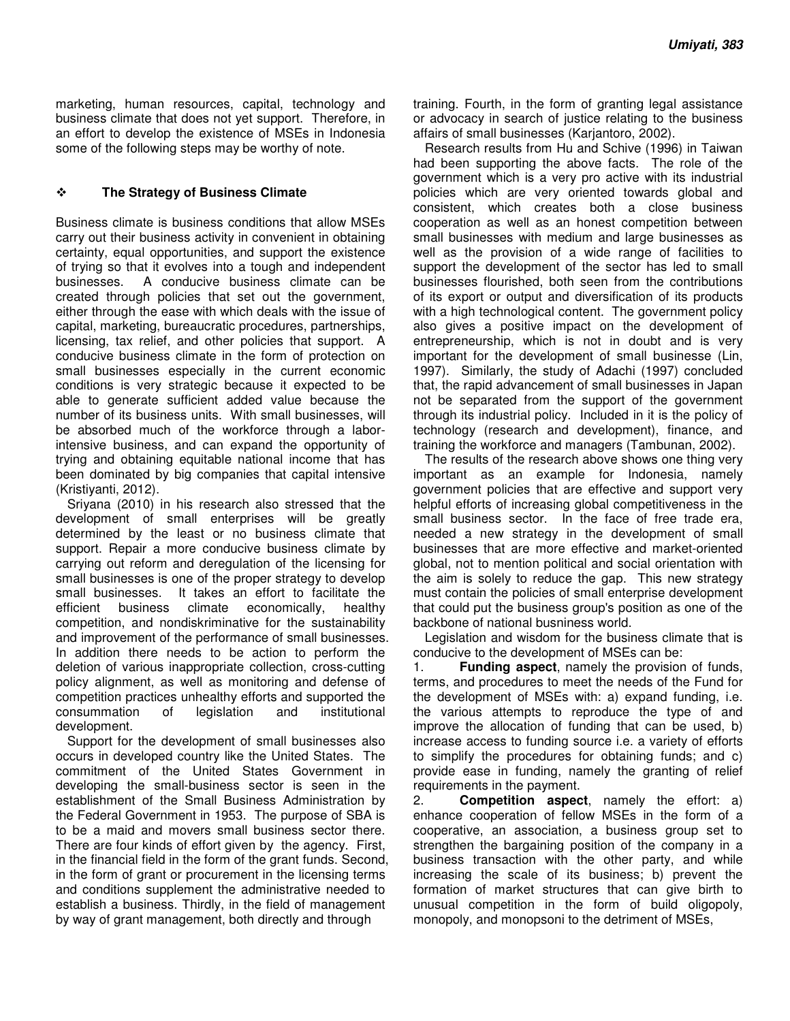marketing, human resources, capital, technology and business climate that does not yet support. Therefore, in an effort to develop the existence of MSEs in Indonesia some of the following steps may be worthy of note.

#### **The Strategy of Business Climate**

Business climate is business conditions that allow MSEs carry out their business activity in convenient in obtaining certainty, equal opportunities, and support the existence of trying so that it evolves into a tough and independent businesses. A conducive business climate can be created through policies that set out the government, either through the ease with which deals with the issue of capital, marketing, bureaucratic procedures, partnerships, licensing, tax relief, and other policies that support. A conducive business climate in the form of protection on small businesses especially in the current economic conditions is very strategic because it expected to be able to generate sufficient added value because the number of its business units. With small businesses, will be absorbed much of the workforce through a laborintensive business, and can expand the opportunity of trying and obtaining equitable national income that has been dominated by big companies that capital intensive (Kristiyanti, 2012).

Sriyana (2010) in his research also stressed that the development of small enterprises will be greatly determined by the least or no business climate that support. Repair a more conducive business climate by carrying out reform and deregulation of the licensing for small businesses is one of the proper strategy to develop small businesses. It takes an effort to facilitate the efficient business climate economically, healthy competition, and nondiskriminative for the sustainability and improvement of the performance of small businesses. In addition there needs to be action to perform the deletion of various inappropriate collection, cross-cutting policy alignment, as well as monitoring and defense of competition practices unhealthy efforts and supported the consummation of legislation and institutional development.

Support for the development of small businesses also occurs in developed country like the United States. The commitment of the United States Government in developing the small-business sector is seen in the establishment of the Small Business Administration by the Federal Government in 1953. The purpose of SBA is to be a maid and movers small business sector there. There are four kinds of effort given by the agency. First, in the financial field in the form of the grant funds. Second, in the form of grant or procurement in the licensing terms and conditions supplement the administrative needed to establish a business. Thirdly, in the field of management by way of grant management, both directly and through

training. Fourth, in the form of granting legal assistance or advocacy in search of justice relating to the business affairs of small businesses (Karjantoro, 2002).

Research results from Hu and Schive (1996) in Taiwan had been supporting the above facts. The role of the government which is a very pro active with its industrial policies which are very oriented towards global and consistent, which creates both a close business cooperation as well as an honest competition between small businesses with medium and large businesses as well as the provision of a wide range of facilities to support the development of the sector has led to small businesses flourished, both seen from the contributions of its export or output and diversification of its products with a high technological content. The government policy also gives a positive impact on the development of entrepreneurship, which is not in doubt and is very important for the development of small businesse (Lin, 1997). Similarly, the study of Adachi (1997) concluded that, the rapid advancement of small businesses in Japan not be separated from the support of the government through its industrial policy. Included in it is the policy of technology (research and development), finance, and training the workforce and managers (Tambunan, 2002).

The results of the research above shows one thing very important as an example for Indonesia, namely government policies that are effective and support very helpful efforts of increasing global competitiveness in the small business sector. In the face of free trade era, needed a new strategy in the development of small businesses that are more effective and market-oriented global, not to mention political and social orientation with the aim is solely to reduce the gap. This new strategy must contain the policies of small enterprise development that could put the business group's position as one of the backbone of national busniness world.

Legislation and wisdom for the business climate that is conducive to the development of MSEs can be:

1. **Funding aspect**, namely the provision of funds, terms, and procedures to meet the needs of the Fund for the development of MSEs with: a) expand funding, i.e. the various attempts to reproduce the type of and improve the allocation of funding that can be used, b) increase access to funding source i.e. a variety of efforts to simplify the procedures for obtaining funds; and c) provide ease in funding, namely the granting of relief requirements in the payment.

2. **Competition aspect**, namely the effort: a) enhance cooperation of fellow MSEs in the form of a cooperative, an association, a business group set to strengthen the bargaining position of the company in a business transaction with the other party, and while increasing the scale of its business; b) prevent the formation of market structures that can give birth to unusual competition in the form of build oligopoly, monopoly, and monopsoni to the detriment of MSEs,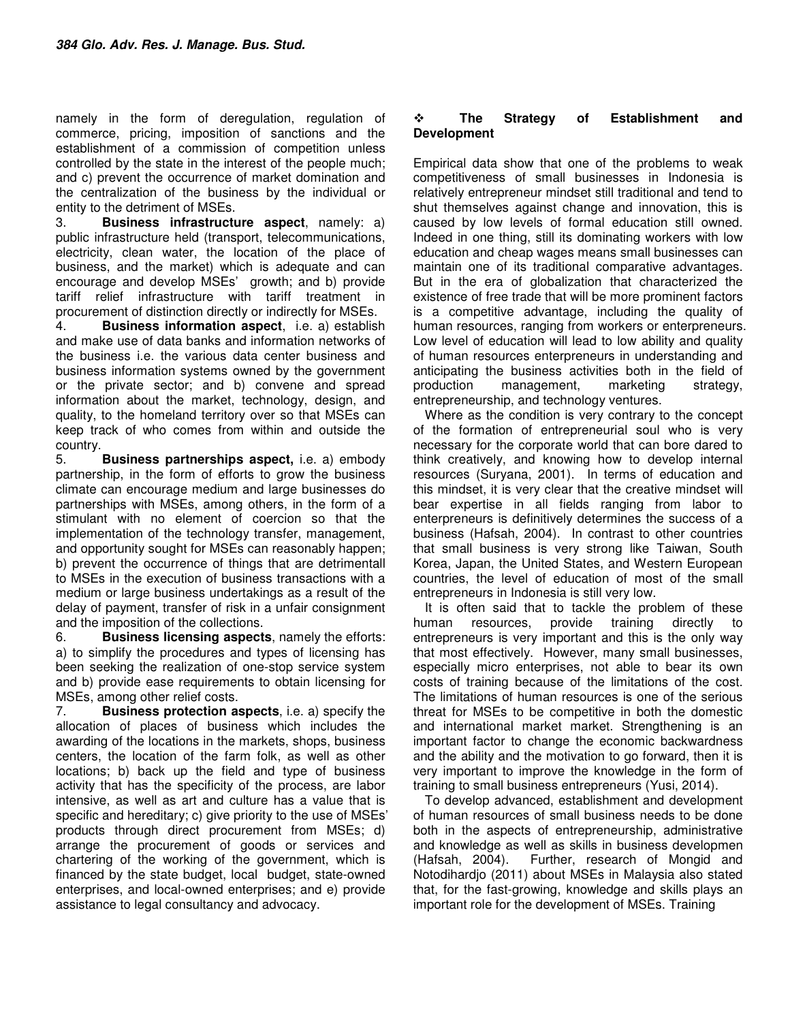namely in the form of deregulation, regulation of commerce, pricing, imposition of sanctions and the establishment of a commission of competition unless controlled by the state in the interest of the people much; and c) prevent the occurrence of market domination and the centralization of the business by the individual or entity to the detriment of MSEs.

3. **Business infrastructure aspect**, namely: a) public infrastructure held (transport, telecommunications, electricity, clean water, the location of the place of business, and the market) which is adequate and can encourage and develop MSEs' growth; and b) provide tariff relief infrastructure with tariff treatment in procurement of distinction directly or indirectly for MSEs.

4. **Business information aspect**, i.e. a) establish and make use of data banks and information networks of the business i.e. the various data center business and business information systems owned by the government or the private sector; and b) convene and spread information about the market, technology, design, and quality, to the homeland territory over so that MSEs can keep track of who comes from within and outside the country.

5. **Business partnerships aspect,** i.e. a) embody partnership, in the form of efforts to grow the business climate can encourage medium and large businesses do partnerships with MSEs, among others, in the form of a stimulant with no element of coercion so that the implementation of the technology transfer, management, and opportunity sought for MSEs can reasonably happen; b) prevent the occurrence of things that are detrimentall to MSEs in the execution of business transactions with a medium or large business undertakings as a result of the delay of payment, transfer of risk in a unfair consignment and the imposition of the collections.

6. **Business licensing aspects**, namely the efforts: a) to simplify the procedures and types of licensing has been seeking the realization of one-stop service system and b) provide ease requirements to obtain licensing for MSEs, among other relief costs.

7. **Business protection aspects**, i.e. a) specify the allocation of places of business which includes the awarding of the locations in the markets, shops, business centers, the location of the farm folk, as well as other locations; b) back up the field and type of business activity that has the specificity of the process, are labor intensive, as well as art and culture has a value that is specific and hereditary; c) give priority to the use of MSEs' products through direct procurement from MSEs; d) arrange the procurement of goods or services and chartering of the working of the government, which is financed by the state budget, local budget, state-owned enterprises, and local-owned enterprises; and e) provide assistance to legal consultancy and advocacy.

#### **The Strategy of Establishment and Development**

Empirical data show that one of the problems to weak competitiveness of small businesses in Indonesia is relatively entrepreneur mindset still traditional and tend to shut themselves against change and innovation, this is caused by low levels of formal education still owned. Indeed in one thing, still its dominating workers with low education and cheap wages means small businesses can maintain one of its traditional comparative advantages. But in the era of globalization that characterized the existence of free trade that will be more prominent factors is a competitive advantage, including the quality of human resources, ranging from workers or enterpreneurs. Low level of education will lead to low ability and quality of human resources enterpreneurs in understanding and anticipating the business activities both in the field of production management, marketing strategy, entrepreneurship, and technology ventures.

Where as the condition is very contrary to the concept of the formation of entrepreneurial soul who is very necessary for the corporate world that can bore dared to think creatively, and knowing how to develop internal resources (Suryana, 2001). In terms of education and this mindset, it is very clear that the creative mindset will bear expertise in all fields ranging from labor to enterpreneurs is definitively determines the success of a business (Hafsah, 2004). In contrast to other countries that small business is very strong like Taiwan, South Korea, Japan, the United States, and Western European countries, the level of education of most of the small entrepreneurs in Indonesia is still very low.

It is often said that to tackle the problem of these human resources, provide training directly to entrepreneurs is very important and this is the only way that most effectively. However, many small businesses, especially micro enterprises, not able to bear its own costs of training because of the limitations of the cost. The limitations of human resources is one of the serious threat for MSEs to be competitive in both the domestic and international market market. Strengthening is an important factor to change the economic backwardness and the ability and the motivation to go forward, then it is very important to improve the knowledge in the form of training to small business entrepreneurs (Yusi, 2014).

To develop advanced, establishment and development of human resources of small business needs to be done both in the aspects of entrepreneurship, administrative and knowledge as well as skills in business developmen (Hafsah, 2004). Further, research of Mongid and Notodihardjo (2011) about MSEs in Malaysia also stated that, for the fast-growing, knowledge and skills plays an important role for the development of MSEs. Training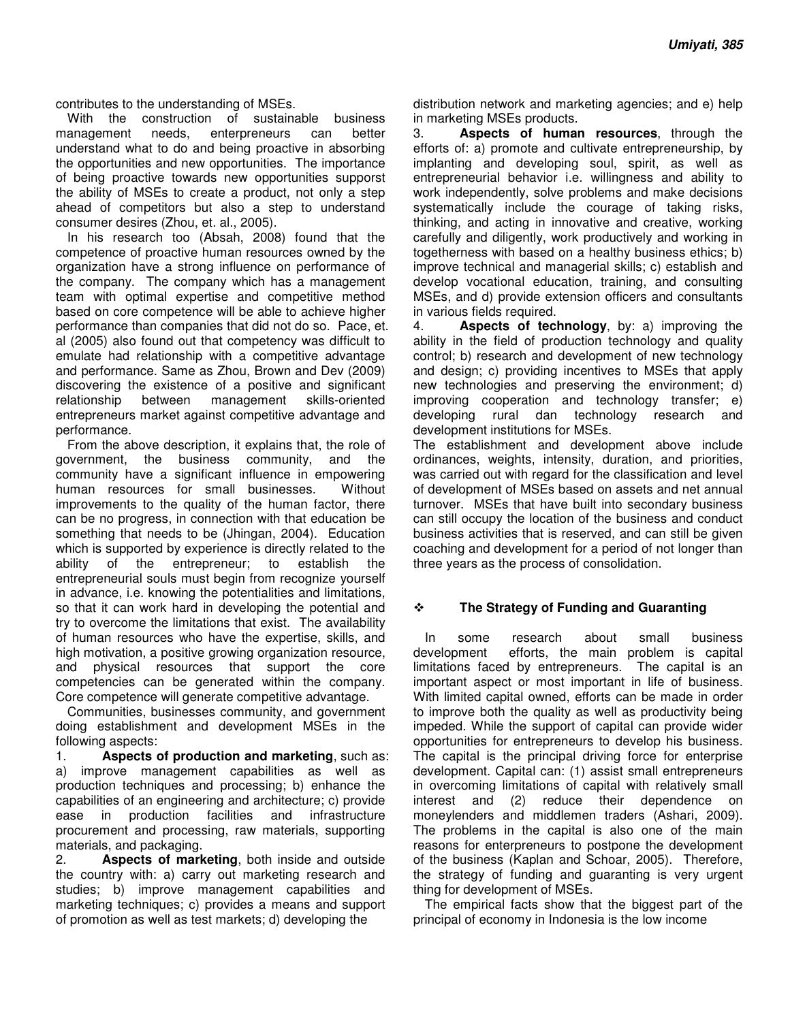contributes to the understanding of MSEs.

With the construction of sustainable business management needs, enterpreneurs can better understand what to do and being proactive in absorbing the opportunities and new opportunities. The importance of being proactive towards new opportunities supporst the ability of MSEs to create a product, not only a step ahead of competitors but also a step to understand consumer desires (Zhou, et. al., 2005).

In his research too (Absah, 2008) found that the competence of proactive human resources owned by the organization have a strong influence on performance of the company. The company which has a management team with optimal expertise and competitive method based on core competence will be able to achieve higher performance than companies that did not do so. Pace, et. al (2005) also found out that competency was difficult to emulate had relationship with a competitive advantage and performance. Same as Zhou, Brown and Dev (2009) discovering the existence of a positive and significant relationship between management skills-oriented entrepreneurs market against competitive advantage and performance.

From the above description, it explains that, the role of government, the business community, and the community have a significant influence in empowering human resources for small businesses. Without improvements to the quality of the human factor, there can be no progress, in connection with that education be something that needs to be (Jhingan, 2004). Education which is supported by experience is directly related to the ability of the entrepreneur; to establish the entrepreneurial souls must begin from recognize yourself in advance, i.e. knowing the potentialities and limitations, so that it can work hard in developing the potential and try to overcome the limitations that exist. The availability of human resources who have the expertise, skills, and high motivation, a positive growing organization resource, and physical resources that support the core competencies can be generated within the company. Core competence will generate competitive advantage.

Communities, businesses community, and government doing establishment and development MSEs in the following aspects:

1. **Aspects of production and marketing**, such as: a) improve management capabilities as well as production techniques and processing; b) enhance the capabilities of an engineering and architecture; c) provide ease in production facilities and infrastructure procurement and processing, raw materials, supporting materials, and packaging.

2. **Aspects of marketing**, both inside and outside the country with: a) carry out marketing research and studies; b) improve management capabilities and marketing techniques; c) provides a means and support of promotion as well as test markets; d) developing the

distribution network and marketing agencies; and e) help in marketing MSEs products.

3. **Aspects of human resources**, through the efforts of: a) promote and cultivate entrepreneurship, by implanting and developing soul, spirit, as well as entrepreneurial behavior i.e. willingness and ability to work independently, solve problems and make decisions systematically include the courage of taking risks, thinking, and acting in innovative and creative, working carefully and diligently, work productively and working in togetherness with based on a healthy business ethics; b) improve technical and managerial skills; c) establish and develop vocational education, training, and consulting MSEs, and d) provide extension officers and consultants in various fields required.

4. **Aspects of technology**, by: a) improving the ability in the field of production technology and quality control; b) research and development of new technology and design; c) providing incentives to MSEs that apply new technologies and preserving the environment; d) improving cooperation and technology transfer; e) developing rural dan technology research and development institutions for MSEs.

The establishment and development above include ordinances, weights, intensity, duration, and priorities, was carried out with regard for the classification and level of development of MSEs based on assets and net annual turnover. MSEs that have built into secondary business can still occupy the location of the business and conduct business activities that is reserved, and can still be given coaching and development for a period of not longer than three years as the process of consolidation.

#### **The Strategy of Funding and Guaranting**

In some research about small business development efforts, the main problem is capital limitations faced by entrepreneurs. The capital is an important aspect or most important in life of business. With limited capital owned, efforts can be made in order to improve both the quality as well as productivity being impeded. While the support of capital can provide wider opportunities for entrepreneurs to develop his business. The capital is the principal driving force for enterprise development. Capital can: (1) assist small entrepreneurs in overcoming limitations of capital with relatively small interest and (2) reduce their dependence on moneylenders and middlemen traders (Ashari, 2009). The problems in the capital is also one of the main reasons for enterpreneurs to postpone the development of the business (Kaplan and Schoar, 2005). Therefore, the strategy of funding and guaranting is very urgent thing for development of MSEs.

The empirical facts show that the biggest part of the principal of economy in Indonesia is the low income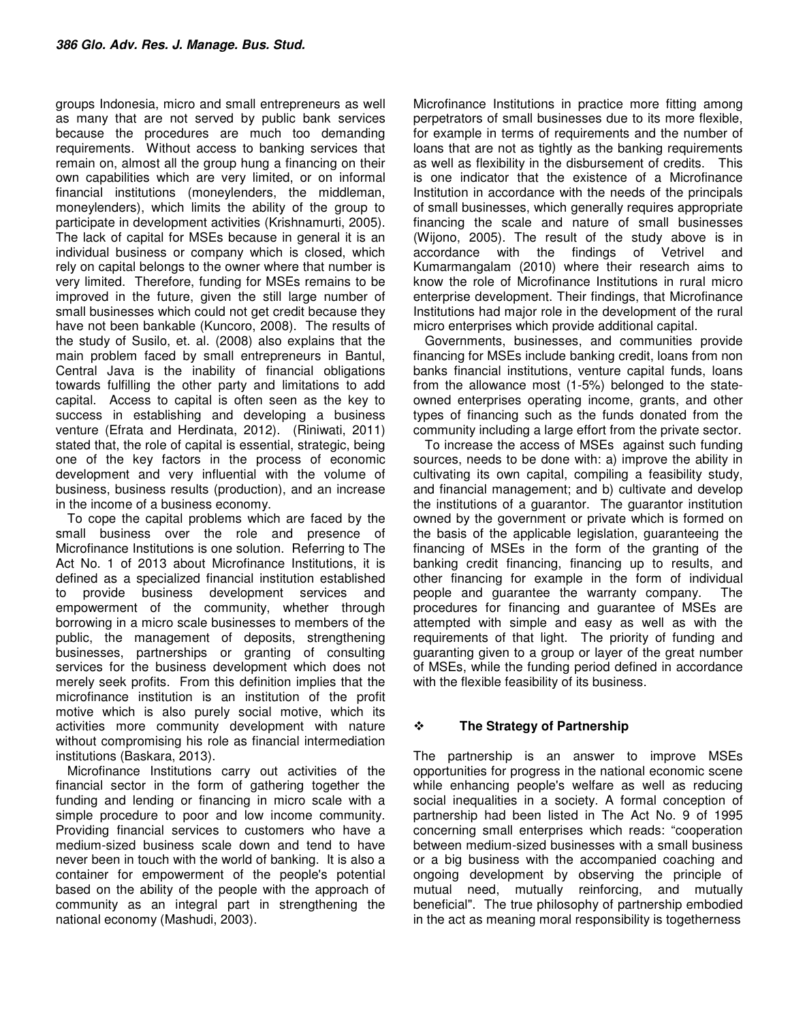groups Indonesia, micro and small entrepreneurs as well as many that are not served by public bank services because the procedures are much too demanding requirements. Without access to banking services that remain on, almost all the group hung a financing on their own capabilities which are very limited, or on informal financial institutions (moneylenders, the middleman, moneylenders), which limits the ability of the group to participate in development activities (Krishnamurti, 2005). The lack of capital for MSEs because in general it is an individual business or company which is closed, which rely on capital belongs to the owner where that number is very limited. Therefore, funding for MSEs remains to be improved in the future, given the still large number of small businesses which could not get credit because they have not been bankable (Kuncoro, 2008). The results of the study of Susilo, et. al. (2008) also explains that the main problem faced by small entrepreneurs in Bantul, Central Java is the inability of financial obligations towards fulfilling the other party and limitations to add capital. Access to capital is often seen as the key to success in establishing and developing a business venture (Efrata and Herdinata, 2012). (Riniwati, 2011) stated that, the role of capital is essential, strategic, being one of the key factors in the process of economic development and very influential with the volume of business, business results (production), and an increase in the income of a business economy.

To cope the capital problems which are faced by the small business over the role and presence of Microfinance Institutions is one solution. Referring to The Act No. 1 of 2013 about Microfinance Institutions, it is defined as a specialized financial institution established to provide business development services and empowerment of the community, whether through borrowing in a micro scale businesses to members of the public, the management of deposits, strengthening businesses, partnerships or granting of consulting services for the business development which does not merely seek profits. From this definition implies that the microfinance institution is an institution of the profit motive which is also purely social motive, which its activities more community development with nature without compromising his role as financial intermediation institutions (Baskara, 2013).

Microfinance Institutions carry out activities of the financial sector in the form of gathering together the funding and lending or financing in micro scale with a simple procedure to poor and low income community. Providing financial services to customers who have a medium-sized business scale down and tend to have never been in touch with the world of banking. It is also a container for empowerment of the people's potential based on the ability of the people with the approach of community as an integral part in strengthening the national economy (Mashudi, 2003).

Microfinance Institutions in practice more fitting among perpetrators of small businesses due to its more flexible, for example in terms of requirements and the number of loans that are not as tightly as the banking requirements as well as flexibility in the disbursement of credits. This is one indicator that the existence of a Microfinance Institution in accordance with the needs of the principals of small businesses, which generally requires appropriate financing the scale and nature of small businesses (Wijono, 2005). The result of the study above is in accordance with the findings of Vetrivel and Kumarmangalam (2010) where their research aims to know the role of Microfinance Institutions in rural micro enterprise development. Their findings, that Microfinance Institutions had major role in the development of the rural micro enterprises which provide additional capital.

Governments, businesses, and communities provide financing for MSEs include banking credit, loans from non banks financial institutions, venture capital funds, loans from the allowance most (1-5%) belonged to the stateowned enterprises operating income, grants, and other types of financing such as the funds donated from the community including a large effort from the private sector.

To increase the access of MSEs against such funding sources, needs to be done with: a) improve the ability in cultivating its own capital, compiling a feasibility study, and financial management; and b) cultivate and develop the institutions of a guarantor. The guarantor institution owned by the government or private which is formed on the basis of the applicable legislation, guaranteeing the financing of MSEs in the form of the granting of the banking credit financing, financing up to results, and other financing for example in the form of individual people and guarantee the warranty company. The procedures for financing and guarantee of MSEs are attempted with simple and easy as well as with the requirements of that light. The priority of funding and guaranting given to a group or layer of the great number of MSEs, while the funding period defined in accordance with the flexible feasibility of its business.

### **The Strategy of Partnership**

The partnership is an answer to improve MSEs opportunities for progress in the national economic scene while enhancing people's welfare as well as reducing social inequalities in a society. A formal conception of partnership had been listed in The Act No. 9 of 1995 concerning small enterprises which reads: "cooperation between medium-sized businesses with a small business or a big business with the accompanied coaching and ongoing development by observing the principle of mutual need, mutually reinforcing, and mutually beneficial". The true philosophy of partnership embodied in the act as meaning moral responsibility is togetherness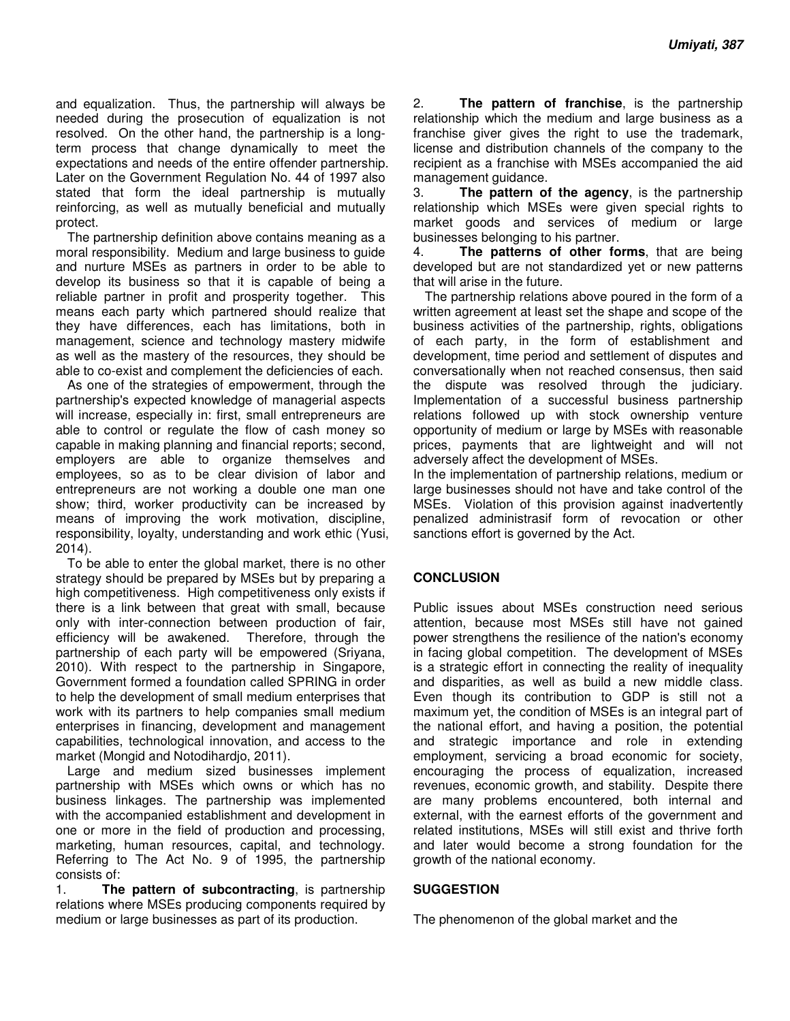and equalization. Thus, the partnership will always be needed during the prosecution of equalization is not resolved. On the other hand, the partnership is a longterm process that change dynamically to meet the expectations and needs of the entire offender partnership. Later on the Government Regulation No. 44 of 1997 also stated that form the ideal partnership is mutually reinforcing, as well as mutually beneficial and mutually protect.

The partnership definition above contains meaning as a moral responsibility. Medium and large business to guide and nurture MSEs as partners in order to be able to develop its business so that it is capable of being a reliable partner in profit and prosperity together. This means each party which partnered should realize that they have differences, each has limitations, both in management, science and technology mastery midwife as well as the mastery of the resources, they should be able to co-exist and complement the deficiencies of each.

As one of the strategies of empowerment, through the partnership's expected knowledge of managerial aspects will increase, especially in: first, small entrepreneurs are able to control or regulate the flow of cash money so capable in making planning and financial reports; second, employers are able to organize themselves and employees, so as to be clear division of labor and entrepreneurs are not working a double one man one show; third, worker productivity can be increased by means of improving the work motivation, discipline, responsibility, loyalty, understanding and work ethic (Yusi, 2014).

To be able to enter the global market, there is no other strategy should be prepared by MSEs but by preparing a high competitiveness. High competitiveness only exists if there is a link between that great with small, because only with inter-connection between production of fair, efficiency will be awakened. Therefore, through the partnership of each party will be empowered (Sriyana, 2010). With respect to the partnership in Singapore, Government formed a foundation called SPRING in order to help the development of small medium enterprises that work with its partners to help companies small medium enterprises in financing, development and management capabilities, technological innovation, and access to the market (Mongid and Notodihardjo, 2011).

Large and medium sized businesses implement partnership with MSEs which owns or which has no business linkages. The partnership was implemented with the accompanied establishment and development in one or more in the field of production and processing, marketing, human resources, capital, and technology. Referring to The Act No. 9 of 1995, the partnership consists of:

1. **The pattern of subcontracting**, is partnership relations where MSEs producing components required by medium or large businesses as part of its production.

2. **The pattern of franchise**, is the partnership relationship which the medium and large business as a franchise giver gives the right to use the trademark, license and distribution channels of the company to the recipient as a franchise with MSEs accompanied the aid management guidance.

3. **The pattern of the agency**, is the partnership relationship which MSEs were given special rights to market goods and services of medium or large businesses belonging to his partner.

4. **The patterns of other forms**, that are being developed but are not standardized yet or new patterns that will arise in the future.

The partnership relations above poured in the form of a written agreement at least set the shape and scope of the business activities of the partnership, rights, obligations of each party, in the form of establishment and development, time period and settlement of disputes and conversationally when not reached consensus, then said the dispute was resolved through the judiciary. Implementation of a successful business partnership relations followed up with stock ownership venture opportunity of medium or large by MSEs with reasonable prices, payments that are lightweight and will not adversely affect the development of MSEs.

In the implementation of partnership relations, medium or large businesses should not have and take control of the MSEs. Violation of this provision against inadvertently penalized administrasif form of revocation or other sanctions effort is governed by the Act.

### **CONCLUSION**

Public issues about MSEs construction need serious attention, because most MSEs still have not gained power strengthens the resilience of the nation's economy in facing global competition. The development of MSEs is a strategic effort in connecting the reality of inequality and disparities, as well as build a new middle class. Even though its contribution to GDP is still not a maximum yet, the condition of MSEs is an integral part of the national effort, and having a position, the potential and strategic importance and role in extending employment, servicing a broad economic for society, encouraging the process of equalization, increased revenues, economic growth, and stability. Despite there are many problems encountered, both internal and external, with the earnest efforts of the government and related institutions, MSEs will still exist and thrive forth and later would become a strong foundation for the growth of the national economy.

#### **SUGGESTION**

The phenomenon of the global market and the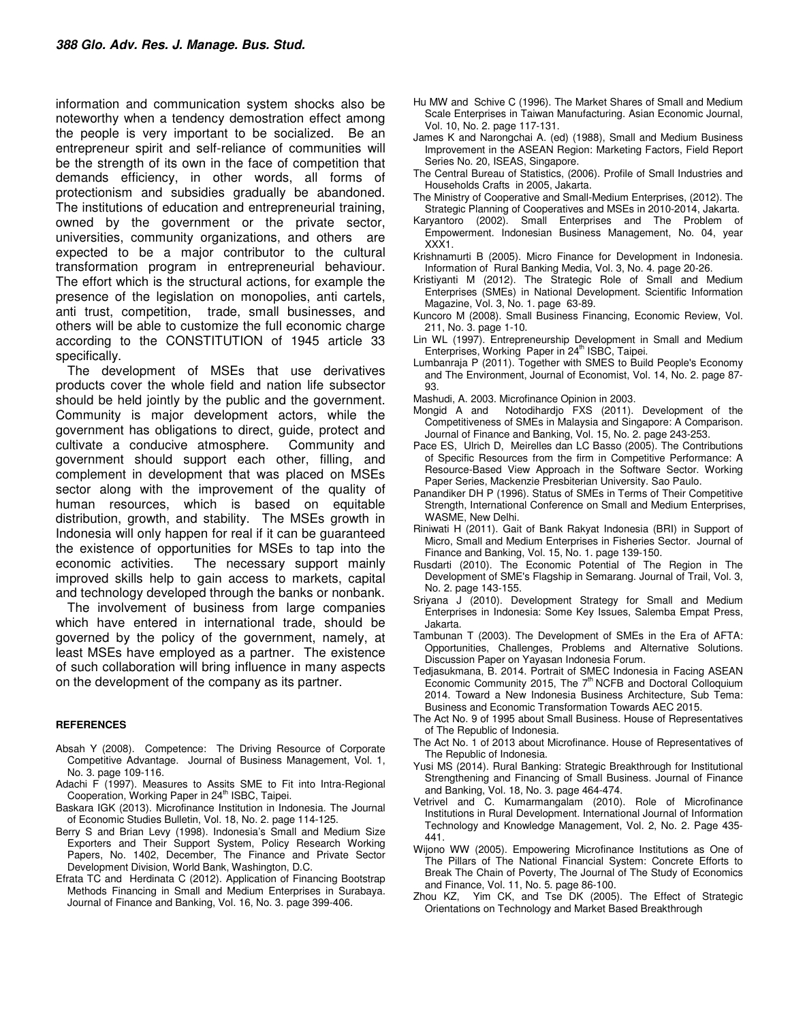information and communication system shocks also be noteworthy when a tendency demostration effect among the people is very important to be socialized. Be an entrepreneur spirit and self-reliance of communities will be the strength of its own in the face of competition that demands efficiency, in other words, all forms of protectionism and subsidies gradually be abandoned. The institutions of education and entrepreneurial training, owned by the government or the private sector, universities, community organizations, and others are expected to be a major contributor to the cultural transformation program in entrepreneurial behaviour. The effort which is the structural actions, for example the presence of the legislation on monopolies, anti cartels, anti trust, competition, trade, small businesses, and others will be able to customize the full economic charge according to the CONSTITUTION of 1945 article 33 specifically.

The development of MSEs that use derivatives products cover the whole field and nation life subsector should be held jointly by the public and the government. Community is major development actors, while the government has obligations to direct, guide, protect and cultivate a conducive atmosphere. Community and government should support each other, filling, and complement in development that was placed on MSEs sector along with the improvement of the quality of human resources, which is based on equitable distribution, growth, and stability. The MSEs growth in Indonesia will only happen for real if it can be guaranteed the existence of opportunities for MSEs to tap into the economic activities. The necessary support mainly improved skills help to gain access to markets, capital and technology developed through the banks or nonbank.

The involvement of business from large companies which have entered in international trade, should be governed by the policy of the government, namely, at least MSEs have employed as a partner. The existence of such collaboration will bring influence in many aspects on the development of the company as its partner.

#### **REFERENCES**

- Absah Y (2008). Competence: The Driving Resource of Corporate Competitive Advantage. Journal of Business Management, Vol. 1, No. 3. page 109-116.
- Adachi F (1997). Measures to Assits SME to Fit into Intra-Regional Cooperation, Working Paper in 24<sup>th</sup> ISBC, Taipei.
- Baskara IGK (2013). Microfinance Institution in Indonesia. The Journal of Economic Studies Bulletin, Vol. 18, No. 2. page 114-125.
- Berry S and Brian Levy (1998). Indonesia's Small and Medium Size Exporters and Their Support System, Policy Research Working Papers, No. 1402, December, The Finance and Private Sector Development Division, World Bank, Washington, D.C.
- Efrata TC and Herdinata C (2012). Application of Financing Bootstrap Methods Financing in Small and Medium Enterprises in Surabaya. Journal of Finance and Banking, Vol. 16, No. 3. page 399-406.
- Hu MW and Schive C (1996). The Market Shares of Small and Medium Scale Enterprises in Taiwan Manufacturing. Asian Economic Journal, Vol. 10, No. 2. page 117-131.
- James K and Narongchai A. (ed) (1988), Small and Medium Business Improvement in the ASEAN Region: Marketing Factors, Field Report Series No. 20, ISEAS, Singapore.
- The Central Bureau of Statistics, (2006). Profile of Small Industries and Households Crafts in 2005, Jakarta.
- The Ministry of Cooperative and Small-Medium Enterprises, (2012). The Strategic Planning of Cooperatives and MSEs in 2010-2014, Jakarta.
- Karyantoro (2002). Small Enterprises and The Problem of Empowerment. Indonesian Business Management, No. 04, year XXX1.
- Krishnamurti B (2005). Micro Finance for Development in Indonesia. Information of Rural Banking Media, Vol. 3, No. 4. page 20-26.
- Kristiyanti M (2012). The Strategic Role of Small and Medium Enterprises (SMEs) in National Development. Scientific Information Magazine, Vol. 3, No. 1. page 63-89.
- Kuncoro M (2008). Small Business Financing, Economic Review, Vol. 211, No. 3. page 1-10.
- Lin WL (1997). Entrepreneurship Development in Small and Medium Enterprises, Working Paper in 24<sup>th</sup> ISBC, Taipei.
- Lumbanraja P (2011). Together with SMES to Build People's Economy and The Environment, Journal of Economist, Vol. 14, No. 2. page 87- 93.
- Mashudi, A. 2003. Microfinance Opinion in 2003.
- Mongid A and Notodihardjo FXS (2011). Development of the Competitiveness of SMEs in Malaysia and Singapore: A Comparison. Journal of Finance and Banking, Vol. 15, No. 2. page 243-253.
- Pace ES, Ulrich D, Meirelles dan LC Basso (2005). The Contributions of Specific Resources from the firm in Competitive Performance: A Resource-Based View Approach in the Software Sector. Working Paper Series, Mackenzie Presbiterian University. Sao Paulo.
- Panandiker DH P (1996). Status of SMEs in Terms of Their Competitive Strength, International Conference on Small and Medium Enterprises, WASME, New Delhi.
- Riniwati H (2011). Gait of Bank Rakyat Indonesia (BRI) in Support of Micro, Small and Medium Enterprises in Fisheries Sector. Journal of Finance and Banking, Vol. 15, No. 1. page 139-150.
- Rusdarti (2010). The Economic Potential of The Region in The Development of SME's Flagship in Semarang. Journal of Trail, Vol. 3, No. 2. page 143-155.
- Sriyana J (2010). Development Strategy for Small and Medium Enterprises in Indonesia: Some Key Issues, Salemba Empat Press, Jakarta.
- Tambunan T (2003). The Development of SMEs in the Era of AFTA: Opportunities, Challenges, Problems and Alternative Solutions. Discussion Paper on Yayasan Indonesia Forum.
- Tedjasukmana, B. 2014. Portrait of SMEC Indonesia in Facing ASEAN Economic Community 2015, The  $7<sup>th</sup> NCFB$  and Doctoral Colloquium 2014. Toward a New Indonesia Business Architecture, Sub Tema: Business and Economic Transformation Towards AEC 2015.
- The Act No. 9 of 1995 about Small Business. House of Representatives of The Republic of Indonesia.
- The Act No. 1 of 2013 about Microfinance. House of Representatives of The Republic of Indonesia.
- Yusi MS (2014). Rural Banking: Strategic Breakthrough for Institutional Strengthening and Financing of Small Business. Journal of Finance and Banking, Vol. 18, No. 3. page 464-474.
- Vetrivel and C. Kumarmangalam (2010). Role of Microfinance Institutions in Rural Development. International Journal of Information Technology and Knowledge Management, Vol. 2, No. 2. Page 435- 441.
- Wijono WW (2005). Empowering Microfinance Institutions as One of The Pillars of The National Financial System: Concrete Efforts to Break The Chain of Poverty, The Journal of The Study of Economics and Finance, Vol. 11, No. 5. page 86-100.
- Zhou KZ, Yim CK, and Tse DK (2005). The Effect of Strategic Orientations on Technology and Market Based Breakthrough